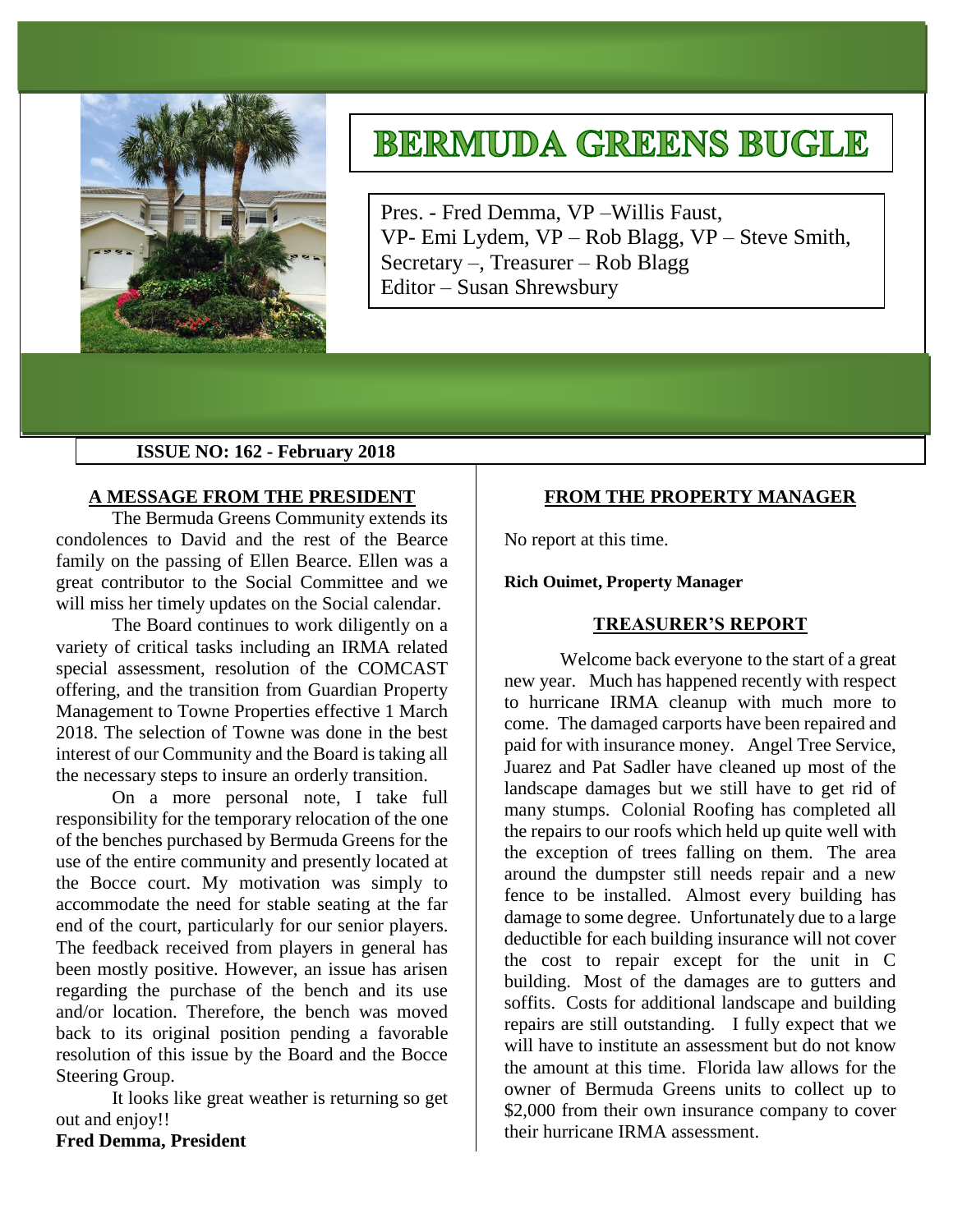

# **BERMUDA GREENS BUGLE**

Pres. - Fred Demma, VP –Willis Faust, VP- Emi Lydem, VP – Rob Blagg, VP – Steve Smith, Secretary –, Treasurer – Rob Blagg Editor – Susan Shrewsbury

## **ISSUE NO: 162 - February 2018**

## **A MESSAGE FROM THE PRESIDENT**

The Bermuda Greens Community extends its condolences to David and the rest of the Bearce family on the passing of Ellen Bearce. Ellen was a great contributor to the Social Committee and we will miss her timely updates on the Social calendar.

The Board continues to work diligently on a variety of critical tasks including an IRMA related special assessment, resolution of the COMCAST offering, and the transition from Guardian Property Management to Towne Properties effective 1 March 2018. The selection of Towne was done in the best interest of our Community and the Board is taking all the necessary steps to insure an orderly transition.

On a more personal note, I take full responsibility for the temporary relocation of the one of the benches purchased by Bermuda Greens for the use of the entire community and presently located at the Bocce court. My motivation was simply to accommodate the need for stable seating at the far end of the court, particularly for our senior players. The feedback received from players in general has been mostly positive. However, an issue has arisen regarding the purchase of the bench and its use and/or location. Therefore, the bench was moved back to its original position pending a favorable resolution of this issue by the Board and the Bocce Steering Group.

It looks like great weather is returning so get out and enjoy!!

# **Fred Demma, President**

# **FROM THE PROPERTY MANAGER**

No report at this time.

#### **Rich Ouimet, Property Manager**

#### **TREASURER'S REPORT**

Welcome back everyone to the start of a great new year. Much has happened recently with respect to hurricane IRMA cleanup with much more to come. The damaged carports have been repaired and paid for with insurance money. Angel Tree Service, Juarez and Pat Sadler have cleaned up most of the landscape damages but we still have to get rid of many stumps. Colonial Roofing has completed all the repairs to our roofs which held up quite well with the exception of trees falling on them. The area around the dumpster still needs repair and a new fence to be installed. Almost every building has damage to some degree. Unfortunately due to a large deductible for each building insurance will not cover the cost to repair except for the unit in C building. Most of the damages are to gutters and soffits. Costs for additional landscape and building repairs are still outstanding. I fully expect that we will have to institute an assessment but do not know the amount at this time. Florida law allows for the owner of Bermuda Greens units to collect up to \$2,000 from their own insurance company to cover their hurricane IRMA assessment.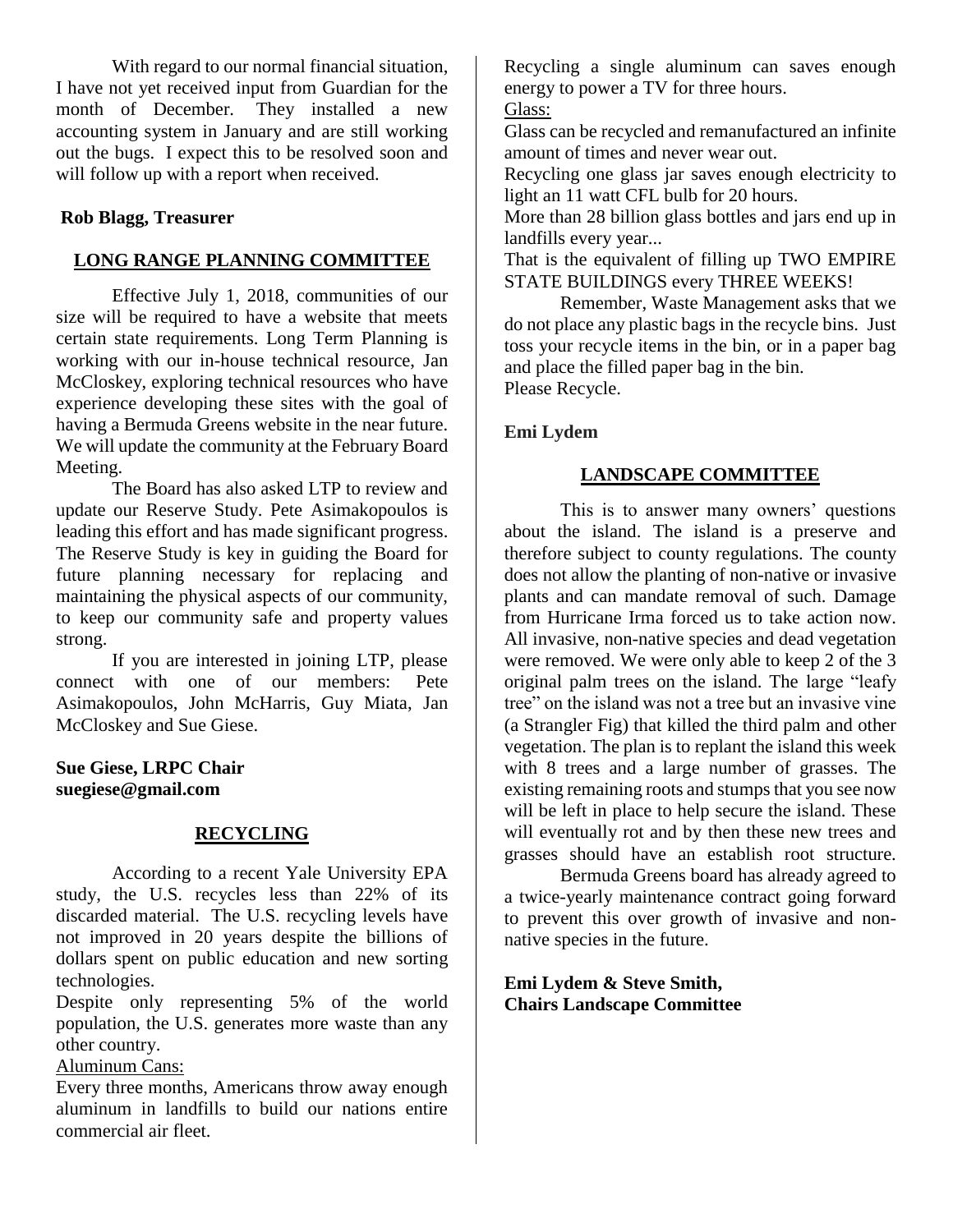With regard to our normal financial situation, I have not yet received input from Guardian for the month of December. They installed a new accounting system in January and are still working out the bugs. I expect this to be resolved soon and will follow up with a report when received.

# **Rob Blagg, Treasurer**

# **LONG RANGE PLANNING COMMITTEE**

Effective July 1, 2018, communities of our size will be required to have a website that meets certain state requirements. Long Term Planning is working with our in-house technical resource, Jan McCloskey, exploring technical resources who have experience developing these sites with the goal of having a Bermuda Greens website in the near future. We will update the community at the February Board Meeting.

The Board has also asked LTP to review and update our Reserve Study. Pete Asimakopoulos is leading this effort and has made significant progress. The Reserve Study is key in guiding the Board for future planning necessary for replacing and maintaining the physical aspects of our community, to keep our community safe and property values strong.

If you are interested in joining LTP, please connect with one of our members: Pete Asimakopoulos, John McHarris, Guy Miata, Jan McCloskey and Sue Giese.

## **Sue Giese, LRPC Chair suegiese@gmail.com**

## **RECYCLING**

According to a recent Yale University EPA study, the U.S. recycles less than 22% of its discarded material. The U.S. recycling levels have not improved in 20 years despite the billions of dollars spent on public education and new sorting technologies.

Despite only representing 5% of the world population, the U.S. generates more waste than any other country.

Aluminum Cans:

Every three months, Americans throw away enough aluminum in landfills to build our nations entire commercial air fleet.

Recycling a single aluminum can saves enough energy to power a TV for three hours.

Glass:

Glass can be recycled and remanufactured an infinite amount of times and never wear out.

Recycling one glass jar saves enough electricity to light an 11 watt CFL bulb for 20 hours.

More than 28 billion glass bottles and jars end up in landfills every year...

That is the equivalent of filling up TWO EMPIRE STATE BUILDINGS every THREE WEEKS!

Remember, Waste Management asks that we do not place any plastic bags in the recycle bins. Just toss your recycle items in the bin, or in a paper bag and place the filled paper bag in the bin. Please Recycle.

**Emi Lydem**

# **LANDSCAPE COMMITTEE**

This is to answer many owners' questions about the island. The island is a preserve and therefore subject to county regulations. The county does not allow the planting of non-native or invasive plants and can mandate removal of such. Damage from Hurricane Irma forced us to take action now. All invasive, non-native species and dead vegetation were removed. We were only able to keep 2 of the 3 original palm trees on the island. The large "leafy tree" on the island was not a tree but an invasive vine (a Strangler Fig) that killed the third palm and other vegetation. The plan is to replant the island this week with 8 trees and a large number of grasses. The existing remaining roots and stumps that you see now will be left in place to help secure the island. These will eventually rot and by then these new trees and grasses should have an establish root structure.

Bermuda Greens board has already agreed to a twice-yearly maintenance contract going forward to prevent this over growth of invasive and nonnative species in the future.

**Emi Lydem & Steve Smith, Chairs Landscape Committee**